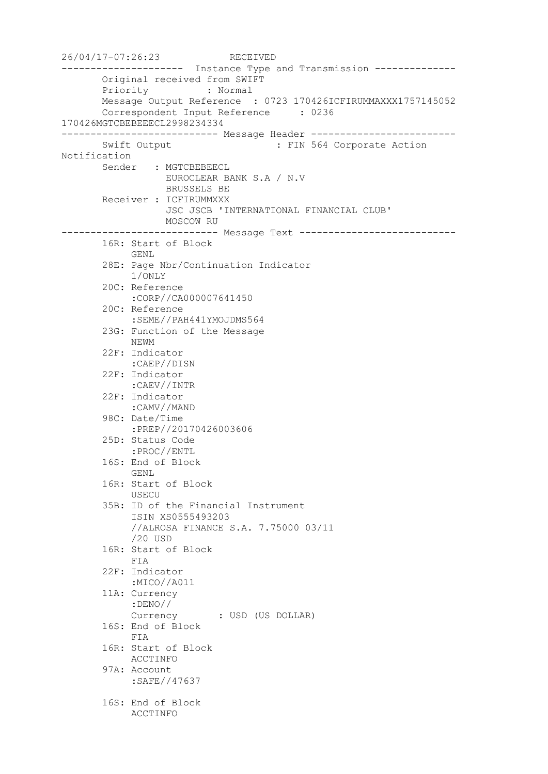26/04/17-07:26:23 RECEIVED --------------------- Instance Type and Transmission -------------- Original received from SWIFT Priority : Normal Message Output Reference : 0723 170426ICFIRUMMAXXX1757145052 Correspondent Input Reference : 0236 170426MGTCBEBEEECL2998234334 --------------------------- Message Header ------------------------- Swift Output : FIN 564 Corporate Action Notification Sender : MGTCBEBEECL EUROCLEAR BANK S.A / N.V BRUSSELS BE Receiver : ICFIRUMMXXX JSC JSCB 'INTERNATIONAL FINANCIAL CLUB' MOSCOW RU --------------------------- Message Text --------------------------- 16R: Start of Block GENL 28E: Page Nbr/Continuation Indicator 1/ONLY 20C: Reference :CORP//CA000007641450 20C: Reference :SEME//PAH441YMOJDMS564 23G: Function of the Message NEWM 22F: Indicator :CAEP//DISN 22F: Indicator :CAEV//INTR 22F: Indicator :CAMV//MAND 98C: Date/Time :PREP//20170426003606 25D: Status Code :PROC//ENTL 16S: End of Block GENL 16R: Start of Block USECU 35B: ID of the Financial Instrument ISIN XS0555493203 //ALROSA FINANCE S.A. 7.75000 03/11 /20 USD 16R: Start of Block FIA 22F: Indicator :MICO//A011 11A: Currency :DENO// Currency : USD (US DOLLAR) 16S: End of Block FIA 16R: Start of Block ACCTINFO 97A: Account :SAFE//47637 16S: End of Block ACCTINFO